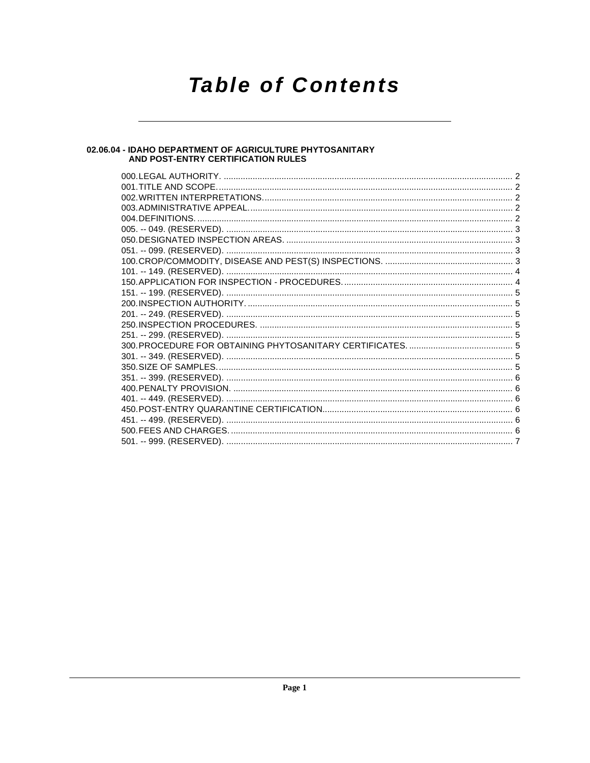# **Table of Contents**

# 02.06.04 - IDAHO DEPARTMENT OF AGRICULTURE PHYTOSANITARY<br>AND POST-ENTRY CERTIFICATION RULES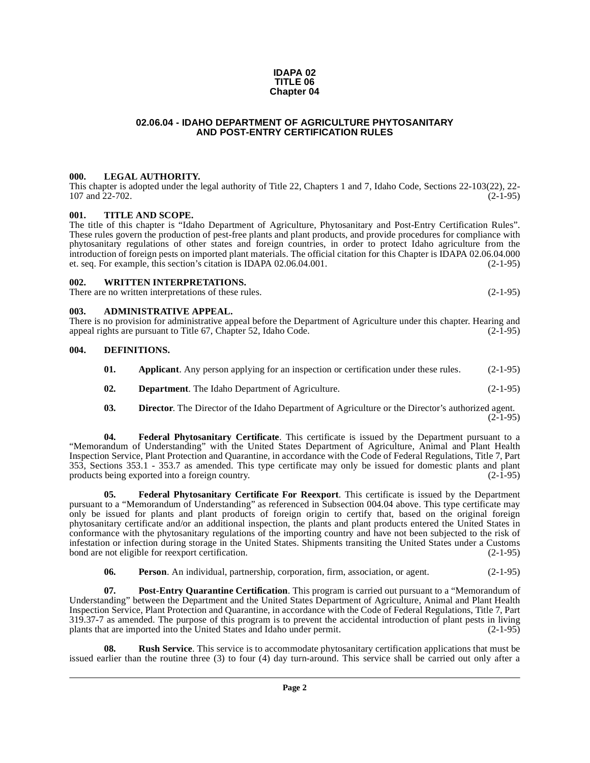#### **IDAPA 02 TITLE 06 Chapter 04**

#### **02.06.04 - IDAHO DEPARTMENT OF AGRICULTURE PHYTOSANITARY AND POST-ENTRY CERTIFICATION RULES**

#### <span id="page-1-1"></span><span id="page-1-0"></span>**000. LEGAL AUTHORITY.**

This chapter is adopted under the legal authority of Title 22, Chapters 1 and 7, Idaho Code, Sections 22-103(22), 22- 107 and 22-702. (2-1-95)

#### <span id="page-1-2"></span>**001. TITLE AND SCOPE.**

The title of this chapter is "Idaho Department of Agriculture, Phytosanitary and Post-Entry Certification Rules". These rules govern the production of pest-free plants and plant products, and provide procedures for compliance with phytosanitary regulations of other states and foreign countries, in order to protect Idaho agriculture from the introduction of foreign pests on imported plant materials. The official citation for this Chapter is IDAPA 02.06.04.000 et. seq. For example, this section's citation is IDAPA 02.06.04.001. (2-1-95)

#### <span id="page-1-3"></span>**002. WRITTEN INTERPRETATIONS.**

There are no written interpretations of these rules. (2-1-95)

#### <span id="page-1-4"></span>**003. ADMINISTRATIVE APPEAL.**

There is no provision for administrative appeal before the Department of Agriculture under this chapter. Hearing and appeal rights are pursuant to Title 67, Chapter 52, Idaho Code. (2-1-95)

#### <span id="page-1-5"></span>**004. DEFINITIONS.**

<span id="page-1-8"></span><span id="page-1-7"></span><span id="page-1-6"></span>

| 01.           | Applicant. Any person applying for an inspection or certification under these rules. |                |
|---------------|--------------------------------------------------------------------------------------|----------------|
| $\mathbf{02}$ | <b>Department.</b> The Idaho Department of Agriculture.                              | $(2 - 1 - 95)$ |

<span id="page-1-9"></span>**03. Director**. The Director of the Idaho Department of Agriculture or the Director's authorized agent.  $(2-1-95)$ 

**04. Federal Phytosanitary Certificate**. This certificate is issued by the Department pursuant to a "Memorandum of Understanding" with the United States Department of Agriculture, Animal and Plant Health Inspection Service, Plant Protection and Quarantine, in accordance with the Code of Federal Regulations, Title 7, Part 353, Sections 353.1 - 353.7 as amended. This type certificate may only be issued for domestic plants and plant products being exported into a foreign country.

<span id="page-1-10"></span>**05. Federal Phytosanitary Certificate For Reexport**. This certificate is issued by the Department pursuant to a "Memorandum of Understanding" as referenced in Subsection 004.04 above. This type certificate may only be issued for plants and plant products of foreign origin to certify that, based on the original foreign phytosanitary certificate and/or an additional inspection, the plants and plant products entered the United States in conformance with the phytosanitary regulations of the importing country and have not been subjected to the risk of infestation or infection during storage in the United States. Shipments transiting the United States under a Customs bond are not eligible for reexport certification.

<span id="page-1-11"></span>**06. Person**. An individual, partnership, corporation, firm, association, or agent. (2-1-95)

**07. Post-Entry Quarantine Certification**. This program is carried out pursuant to a "Memorandum of Understanding" between the Department and the United States Department of Agriculture, Animal and Plant Health Inspection Service, Plant Protection and Quarantine, in accordance with the Code of Federal Regulations, Title 7, Part 319.37-7 as amended. The purpose of this program is to prevent the accidental introduction of plant pests in living plants that are imported into the United States and Idaho under permit. (2-1-95)

<span id="page-1-12"></span>**Rush Service**. This service is to accommodate phytosanitary certification applications that must be issued earlier than the routine three (3) to four (4) day turn-around. This service shall be carried out only after a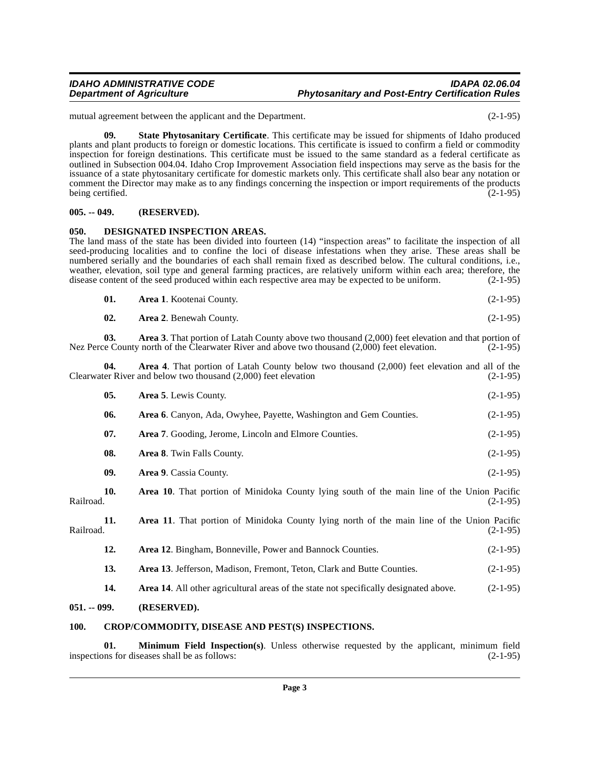mutual agreement between the applicant and the Department. (2-1-95)

<span id="page-2-7"></span>**09. State Phytosanitary Certificate**. This certificate may be issued for shipments of Idaho produced plants and plant products to foreign or domestic locations. This certificate is issued to confirm a field or commodity inspection for foreign destinations. This certificate must be issued to the same standard as a federal certificate as outlined in Subsection 004.04. Idaho Crop Improvement Association field inspections may serve as the basis for the issuance of a state phytosanitary certificate for domestic markets only. This certificate shall also bear any notation or comment the Director may make as to any findings concerning the inspection or import requirements of the products being certified. (2-1-95)

#### <span id="page-2-0"></span>**005. -- 049. (RESERVED).**

#### <span id="page-2-5"></span><span id="page-2-1"></span>**050. DESIGNATED INSPECTION AREAS.**

The land mass of the state has been divided into fourteen (14) "inspection areas" to facilitate the inspection of all seed-producing localities and to confine the loci of disease infestations when they arise. These areas shall be numbered serially and the boundaries of each shall remain fixed as described below. The cultural conditions, i.e., weather, elevation, soil type and general farming practices, are relatively uniform within each area; therefore, the disease content of the seed produced within each respective area may be expected to be uniform. (2-1-95) disease content of the seed produced within each respective area may be expected to be uniform.

| 01. | <b>Area 1.</b> Kootenai County. | $(2-1-95)$ |
|-----|---------------------------------|------------|
|     |                                 |            |

**02.** Area 2. Benewah County. (2-1-95)

**03. Area 3**. That portion of Latah County above two thousand (2,000) feet elevation and that portion of Nez Perce County north of the Clearwater River and above two thousand (2,000) feet elevation. (2-1-95)

**04.** Area 4. That portion of Latah County below two thousand (2,000) feet elevation and all of the ter River and below two thousand (2,000) feet elevation (2-1-95) Clearwater River and below two thousand  $(2,000)$  feet elevation

|              | 05. | Area 5. Lewis County.                                                                             | $(2-1-95)$ |
|--------------|-----|---------------------------------------------------------------------------------------------------|------------|
|              | 06. | Area 6. Canyon, Ada, Owyhee, Payette, Washington and Gem Counties.                                | $(2-1-95)$ |
|              | 07. | Area 7. Gooding, Jerome, Lincoln and Elmore Counties.                                             | $(2-1-95)$ |
|              | 08. | Area 8. Twin Falls County.                                                                        | $(2-1-95)$ |
|              | 09. | Area 9. Cassia County.                                                                            | $(2-1-95)$ |
| Railroad.    | 10. | <b>Area 10.</b> That portion of Minidoka County lying south of the main line of the Union Pacific | $(2-1-95)$ |
| Railroad.    | 11. | <b>Area 11.</b> That portion of Minidoka County lying north of the main line of the Union Pacific | $(2-1-95)$ |
|              | 12. | <b>Area 12.</b> Bingham, Bonneville, Power and Bannock Counties.                                  | $(2-1-95)$ |
|              | 13. | <b>Area 13.</b> Jefferson, Madison, Fremont, Teton, Clark and Butte Counties.                     | $(2-1-95)$ |
|              | 14. | <b>Area 14.</b> All other agricultural areas of the state not specifically designated above.      | $(2-1-95)$ |
| 051. -- 099. |     | (RESERVED).                                                                                       |            |

#### <span id="page-2-4"></span><span id="page-2-3"></span><span id="page-2-2"></span>**100. CROP/COMMODITY, DISEASE AND PEST(S) INSPECTIONS.**

<span id="page-2-6"></span>**01. Minimum Field Inspection(s)**. Unless otherwise requested by the applicant, minimum field ins for diseases shall be as follows: (2-1-95) inspections for diseases shall be as follows: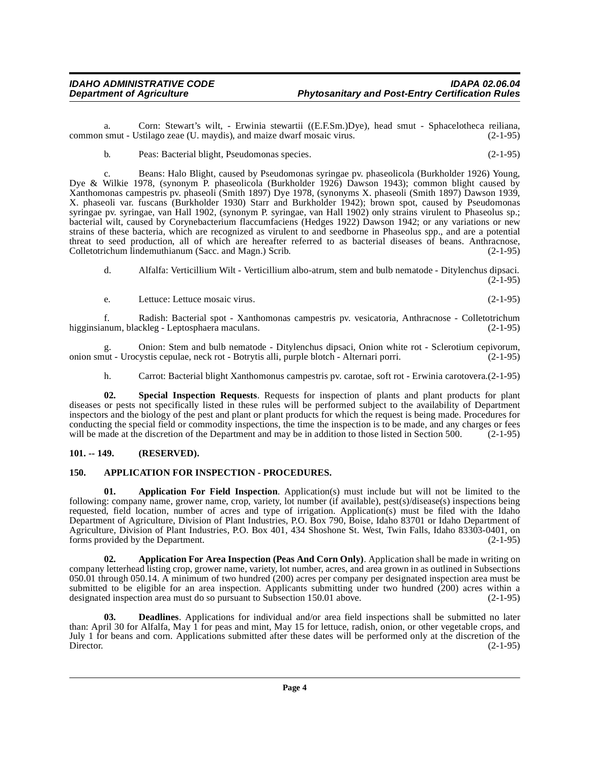a. Corn: Stewart's wilt, - Erwinia stewartii ((E.F.Sm.)Dye), head smut - Sphacelotheca reiliana, smut - Ustilago zeae (U. maydis), and maize dwarf mosaic virus. (2-1-95) common smut - Ustilago zeae (U. maydis), and maize dwarf mosaic virus.

b. Peas: Bacterial blight, Pseudomonas species. (2-1-95)

c. Beans: Halo Blight, caused by Pseudomonas syringae pv. phaseolicola (Burkholder 1926) Young, Dye & Wilkie 1978, (synonym P. phaseolicola (Burkholder 1926) Dawson 1943); common blight caused by Xanthomonas campestris pv. phaseoli (Smith 1897) Dye 1978, (synonyms X. phaseoli (Smith 1897) Dawson 1939, X. phaseoli var. fuscans (Burkholder 1930) Starr and Burkholder 1942); brown spot, caused by Pseudomonas syringae pv. syringae, van Hall 1902, (synonym P. syringae, van Hall 1902) only strains virulent to Phaseolus sp.; bacterial wilt, caused by Corynebacterium flaccumfaciens (Hedges 1922) Dawson 1942; or any variations or new strains of these bacteria, which are recognized as virulent to and seedborne in Phaseolus spp., and are a potential threat to seed production, all of which are hereafter referred to as bacterial diseases of beans. Anthracnose, Colletotrichum lindemuthianum (Sacc. and Magn.) Scrib. (2-1-95)

d. Alfalfa: Verticillium Wilt - Verticillium albo-atrum, stem and bulb nematode - Ditylenchus dipsaci.  $(2-1-95)$ 

e. Lettuce: Lettuce mosaic virus. (2-1-95)

f. Radish: Bacterial spot - Xanthomonas campestris pv. vesicatoria, Anthracnose - Colletotrichum higginsianum, blackleg - Leptosphaera maculans.

g. Onion: Stem and bulb nematode - Ditylenchus dipsaci, Onion white rot - Sclerotium cepivorum, onion smut - Urocystis cepulae, neck rot - Botrytis alli, purple blotch - Alternari porri.

<span id="page-3-6"></span>h. Carrot: Bacterial blight Xanthomonus campestris pv. carotae, soft rot - Erwinia carotovera.(2-1-95)

**02. Special Inspection Requests**. Requests for inspection of plants and plant products for plant diseases or pests not specifically listed in these rules will be performed subject to the availability of Department inspectors and the biology of the pest and plant or plant products for which the request is being made. Procedures for conducting the special field or commodity inspections, the time the inspection is to be made, and any charges or fees will be made at the discretion of the Department and may be in addition to those listed in Section 500. (2-1-95)

#### <span id="page-3-0"></span>**101. -- 149. (RESERVED).**

#### <span id="page-3-4"></span><span id="page-3-1"></span>**150. APPLICATION FOR INSPECTION - PROCEDURES.**

<span id="page-3-3"></span>**01. Application For Field Inspection**. Application(s) must include but will not be limited to the following: company name, grower name, crop, variety, lot number (if available), pest(s)/disease(s) inspections being requested, field location, number of acres and type of irrigation. Application(s) must be filed with the Idaho Department of Agriculture, Division of Plant Industries, P.O. Box 790, Boise, Idaho 83701 or Idaho Department of Agriculture, Division of Plant Industries, P.O. Box 401, 434 Shoshone St. West, Twin Falls, Idaho 83303-0401, on forms provided by the Department. (2-1-95) forms provided by the Department.

<span id="page-3-2"></span>**02. Application For Area Inspection (Peas And Corn Only)**. Application shall be made in writing on company letterhead listing crop, grower name, variety, lot number, acres, and area grown in as outlined in Subsections 050.01 through 050.14. A minimum of two hundred (200) acres per company per designated inspection area must be submitted to be eligible for an area inspection. Applicants submitting under two hundred (200) acres within a designated inspection area must do so pursuant to Subsection 150.01 above. (2-1-95) designated inspection area must do so pursuant to Subsection 150.01 above.

<span id="page-3-5"></span>**03. Deadlines**. Applications for individual and/or area field inspections shall be submitted no later than: April 30 for Alfalfa, May 1 for peas and mint, May 15 for lettuce, radish, onion, or other vegetable crops, and July 1 for beans and corn. Applications submitted after these dates will be performed only at the discretion of the Director. (2-1-95) Director. (2-1-95)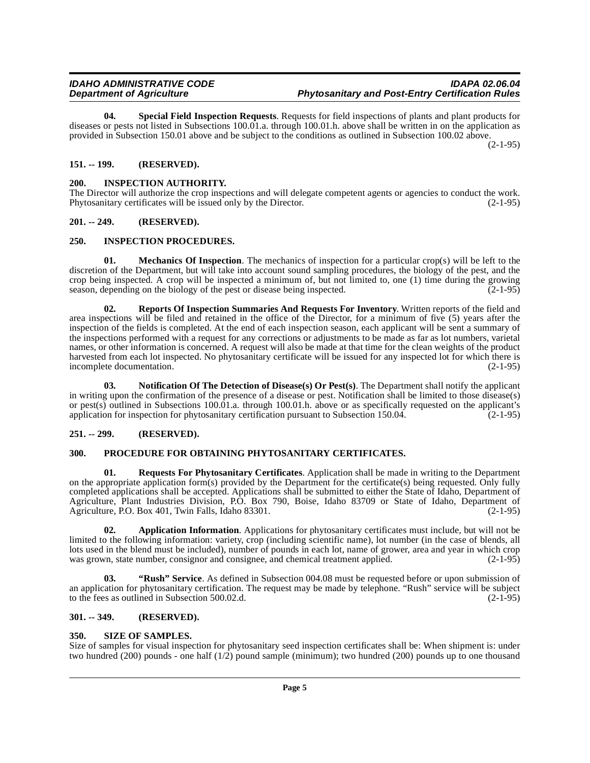<span id="page-4-17"></span>**04. Special Field Inspection Requests**. Requests for field inspections of plants and plant products for diseases or pests not listed in Subsections 100.01.a. through 100.01.h. above shall be written in on the application as provided in Subsection 150.01 above and be subject to the conditions as outlined in Subsection 100.02 above.

(2-1-95)

### <span id="page-4-0"></span>**151. -- 199. (RESERVED).**

#### <span id="page-4-9"></span><span id="page-4-1"></span>**200. INSPECTION AUTHORITY.**

The Director will authorize the crop inspections and will delegate competent agents or agencies to conduct the work. Phytosanitary certificates will be issued only by the Director. (2-1-95)

#### <span id="page-4-2"></span>**201. -- 249. (RESERVED).**

#### <span id="page-4-10"></span><span id="page-4-3"></span>**250. INSPECTION PROCEDURES.**

<span id="page-4-11"></span>**01. Mechanics Of Inspection**. The mechanics of inspection for a particular crop(s) will be left to the discretion of the Department, but will take into account sound sampling procedures, the biology of the pest, and the crop being inspected. A crop will be inspected a minimum of, but not limited to, one (1) time during the growing season, depending on the biology of the pest or disease being inspected.  $(2-1-95)$ 

<span id="page-4-14"></span>**02. Reports Of Inspection Summaries And Requests For Inventory**. Written reports of the field and area inspections will be filed and retained in the office of the Director, for a minimum of five (5) years after the inspection of the fields is completed. At the end of each inspection season, each applicant will be sent a summary of the inspections performed with a request for any corrections or adjustments to be made as far as lot numbers, varietal names, or other information is concerned. A request will also be made at that time for the clean weights of the product harvested from each lot inspected. No phytosanitary certificate will be issued for any inspected lot for which there is incomplete documentation. (2-1-95)

<span id="page-4-12"></span>**03. Notification Of The Detection of Disease(s) Or Pest(s)**. The Department shall notify the applicant in writing upon the confirmation of the presence of a disease or pest. Notification shall be limited to those disease(s) or pest(s) outlined in Subsections 100.01.a. through 100.01.h. above or as specifically requested on the applicant's application for inspection for phytosanitary certification pursuant to Subsection 150.04.  $(2-1-95)$ 

#### <span id="page-4-4"></span>**251. -- 299. (RESERVED).**

#### <span id="page-4-13"></span><span id="page-4-5"></span>**300. PROCEDURE FOR OBTAINING PHYTOSANITARY CERTIFICATES.**

<span id="page-4-15"></span>**01. Requests For Phytosanitary Certificates**. Application shall be made in writing to the Department on the appropriate application form(s) provided by the Department for the certificate(s) being requested. Only fully completed applications shall be accepted. Applications shall be submitted to either the State of Idaho, Department of Agriculture, Plant Industries Division, P.O. Box 790, Boise, Idaho 83709 or State of Idaho, Department of Agriculture, P.O. Box 401, Twin Falls, Idaho 83301. (2-1-95)

<span id="page-4-8"></span>**02. Application Information**. Applications for phytosanitary certificates must include, but will not be limited to the following information: variety, crop (including scientific name), lot number (in the case of blends, all lots used in the blend must be included), number of pounds in each lot, name of grower, area and year in which crop was grown, state number, consignor and consignee, and chemical treatment applied.  $(2-1-95)$ 

**03. "Rush" Service**. As defined in Subsection 004.08 must be requested before or upon submission of an application for phytosanitary certification. The request may be made by telephone. "Rush" service will be subject to the fees as outlined in Subsection 500.02.d. (2-1-95) to the fees as outlined in Subsection 500.02.d.

#### <span id="page-4-6"></span>**301. -- 349. (RESERVED).**

#### <span id="page-4-16"></span><span id="page-4-7"></span>**350. SIZE OF SAMPLES.**

Size of samples for visual inspection for phytosanitary seed inspection certificates shall be: When shipment is: under two hundred (200) pounds - one half (1/2) pound sample (minimum); two hundred (200) pounds up to one thousand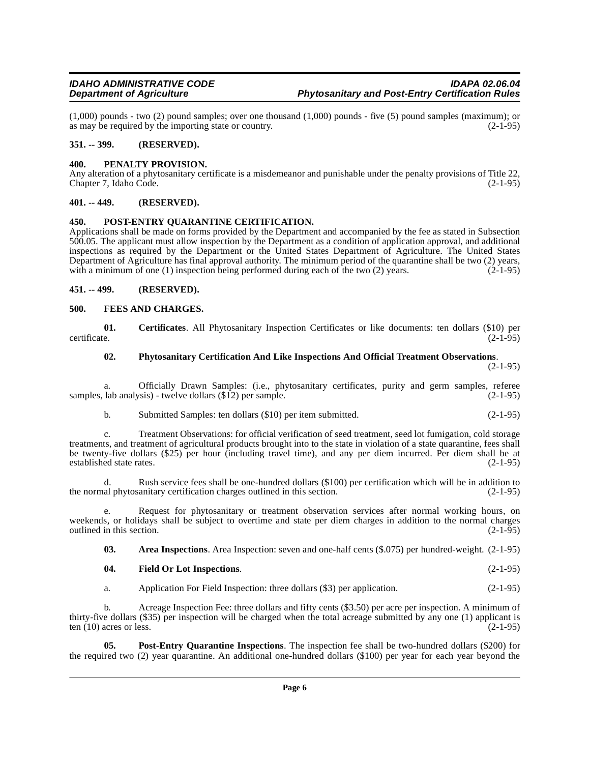$(1,000)$  pounds - two  $(2)$  pound samples; over one thousand  $(1,000)$  pounds - five  $(5)$  pound samples (maximum); or as may be required by the importing state or country. as may be required by the importing state or country.

#### <span id="page-5-0"></span>**351. -- 399. (RESERVED).**

#### <span id="page-5-10"></span><span id="page-5-1"></span>**400. PENALTY PROVISION.**

Any alteration of a phytosanitary certificate is a misdemeanor and punishable under the penalty provisions of Title 22, Chapter 7, Idaho Code. (2-1-95)

#### <span id="page-5-2"></span>**401. -- 449. (RESERVED).**

#### <span id="page-5-12"></span><span id="page-5-3"></span>**450. POST-ENTRY QUARANTINE CERTIFICATION.**

Applications shall be made on forms provided by the Department and accompanied by the fee as stated in Subsection 500.05. The applicant must allow inspection by the Department as a condition of application approval, and additional inspections as required by the Department or the United States Department of Agriculture. The United States Department of Agriculture has final approval authority. The minimum period of the quarantine shall be two (2) years, with a minimum of one (1) inspection being performed during each of the two (2) years. (2-1-95) with a minimum of one  $(1)$  inspection being performed during each of the two  $(2)$  years.

#### <span id="page-5-4"></span>**451. -- 499. (RESERVED).**

#### <span id="page-5-8"></span><span id="page-5-5"></span>**500. FEES AND CHARGES.**

**01. Certificates**. All Phytosanitary Inspection Certificates or like documents: ten dollars (\$10) per certificate. (2-1-95)

#### <span id="page-5-11"></span><span id="page-5-7"></span>**02. Phytosanitary Certification And Like Inspections And Official Treatment Observations**.

(2-1-95)

a. Officially Drawn Samples: (i.e., phytosanitary certificates, purity and germ samples, referee lab analysis) - twelve dollars (\$12) per sample. (2-1-95) samples, lab analysis) - twelve dollars  $(\$12)$  per sample.

b. Submitted Samples: ten dollars (\$10) per item submitted. (2-1-95)

c. Treatment Observations: for official verification of seed treatment, seed lot fumigation, cold storage treatments, and treatment of agricultural products brought into to the state in violation of a state quarantine, fees shall be twenty-five dollars (\$25) per hour (including travel time), and any per diem incurred. Per diem shall be at established state rates. (2-1-95)

d. Rush service fees shall be one-hundred dollars (\$100) per certification which will be in addition to the normal phytosanitary certification charges outlined in this section.

e. Request for phytosanitary or treatment observation services after normal working hours, on weekends, or holidays shall be subject to overtime and state per diem charges in addition to the normal charges outlined in this section. (2-1-95) outlined in this section.

<span id="page-5-9"></span><span id="page-5-6"></span>**03. Area Inspections**. Area Inspection: seven and one-half cents (\$.075) per hundred-weight. (2-1-95)

#### **04. Field Or Lot Inspections**. (2-1-95)

<span id="page-5-13"></span>a. Application For Field Inspection: three dollars (\$3) per application. (2-1-95)

b. Acreage Inspection Fee: three dollars and fifty cents (\$3.50) per acre per inspection. A minimum of thirty-five dollars (\$35) per inspection will be charged when the total acreage submitted by any one (1) applicant is ten  $(10)$  acres or less.  $(2-1-95)$ 

**05. Post-Entry Quarantine Inspections**. The inspection fee shall be two-hundred dollars (\$200) for the required two (2) year quarantine. An additional one-hundred dollars (\$100) per year for each year beyond the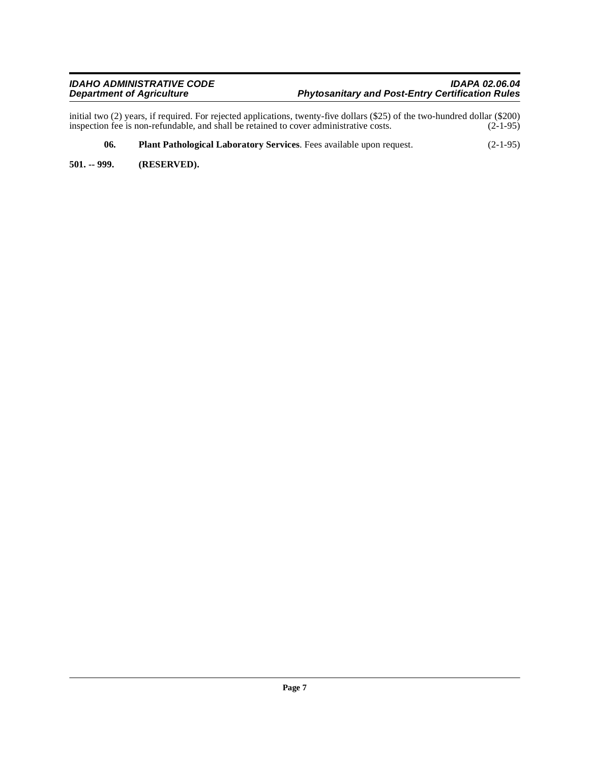initial two (2) years, if required. For rejected applications, twenty-five dollars (\$25) of the two-hundred dollar (\$200) inspection fee is non-refundable, and shall be retained to cover administrative costs. (2-1-95)

- <span id="page-6-1"></span>**06. Plant Pathological Laboratory Services**. Fees available upon request. (2-1-95)
- <span id="page-6-0"></span>**501. -- 999. (RESERVED).**